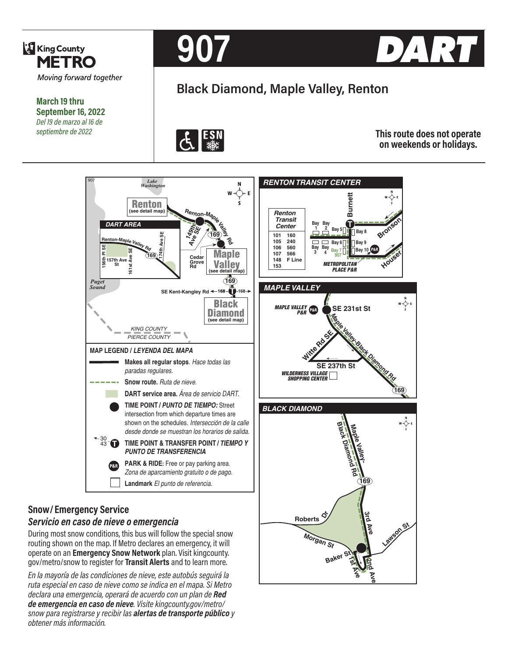

**March 19 thru September 16, 2022** *Del 19 de marzo al 16 de septiembre de 2022*





# **Black Diamond, Maple Valley, Renton**



**This route does not operate on weekends or holidays.**

**Ave**

**2nd Ave**

**Lawson St**

**Morgan St**

**Baker St**

**1st Ave**



## *Servicio en caso de nieve o emergencia*

During most snow conditions, this bus will follow the special snow routing shown on the map. If Metro declares an emergency, it will operate on an **Emergency Snow Network** plan. Visit kingcounty. gov/metro/snow to register for **Transit Alerts** and to learn more.

*En la mayoría de las condiciones de nieve, este autobús seguirá la ruta especial en caso de nieve como se indica en el mapa. Si Metro declara una emergencia, operará de acuerdo con un plan de Red de emergencia en caso de nieve. Visite kingcounty.gov/metro/ snow para registrarse y recibir las alertas de transporte público y obtener más información.*